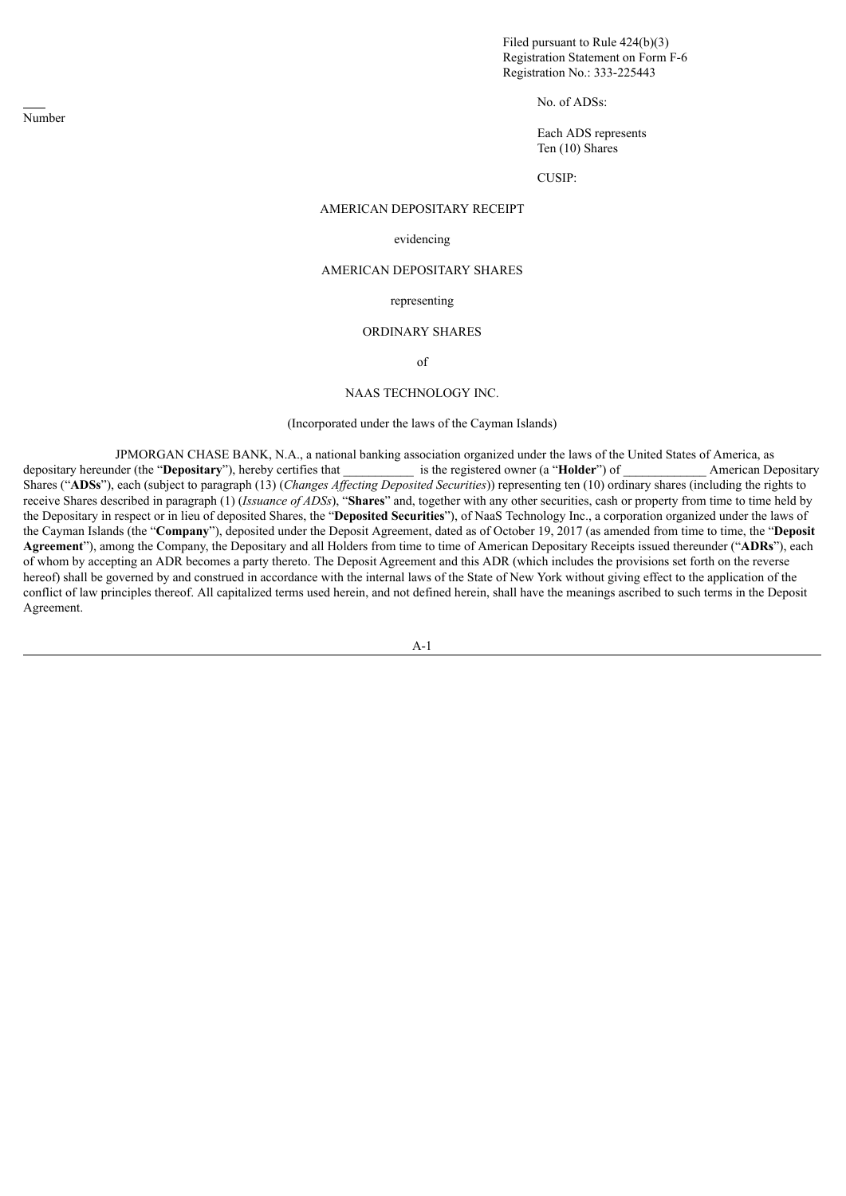Filed pursuant to Rule 424(b)(3) Registration Statement on Form F-6 Registration No.: 333-225443

No. of ADSs:

Each ADS represents Ten (10) Shares

CUSIP:

# AMERICAN DEPOSITARY RECEIPT

#### evidencing

## AMERICAN DEPOSITARY SHARES

# representing

### ORDINARY SHARES

of

#### NAAS TECHNOLOGY INC.

### (Incorporated under the laws of the Cayman Islands)

JPMORGAN CHASE BANK, N.A., a national banking association organized under the laws of the United States of America, as depositary hereunder (the "**Depositary**"), hereby certifies that \_\_\_\_\_\_\_\_\_\_\_ is the registered owner (a "**Holder**") of \_\_\_\_\_\_\_\_\_\_\_\_\_ American Depositary Shares ("**ADSs**"), each (subject to paragraph (13) (*Changes Af ecting Deposited Securities*)) representing ten (10) ordinary shares (including the rights to receive Shares described in paragraph (1) (*Issuance of ADSs*), "**Shares**" and, together with any other securities, cash or property from time to time held by the Depositary in respect or in lieu of deposited Shares, the "**Deposited Securities**"), of NaaS Technology Inc., a corporation organized under the laws of the Cayman Islands (the "**Company**"), deposited under the Deposit Agreement, dated as of October 19, 2017 (as amended from time to time, the "**Deposit Agreement**"), among the Company, the Depositary and all Holders from time to time of American Depositary Receipts issued thereunder ("**ADRs**"), each of whom by accepting an ADR becomes a party thereto. The Deposit Agreement and this ADR (which includes the provisions set forth on the reverse hereof) shall be governed by and construed in accordance with the internal laws of the State of New York without giving effect to the application of the conflict of law principles thereof. All capitalized terms used herein, and not defined herein, shall have the meanings ascribed to such terms in the Deposit Agreement.

A-1

Number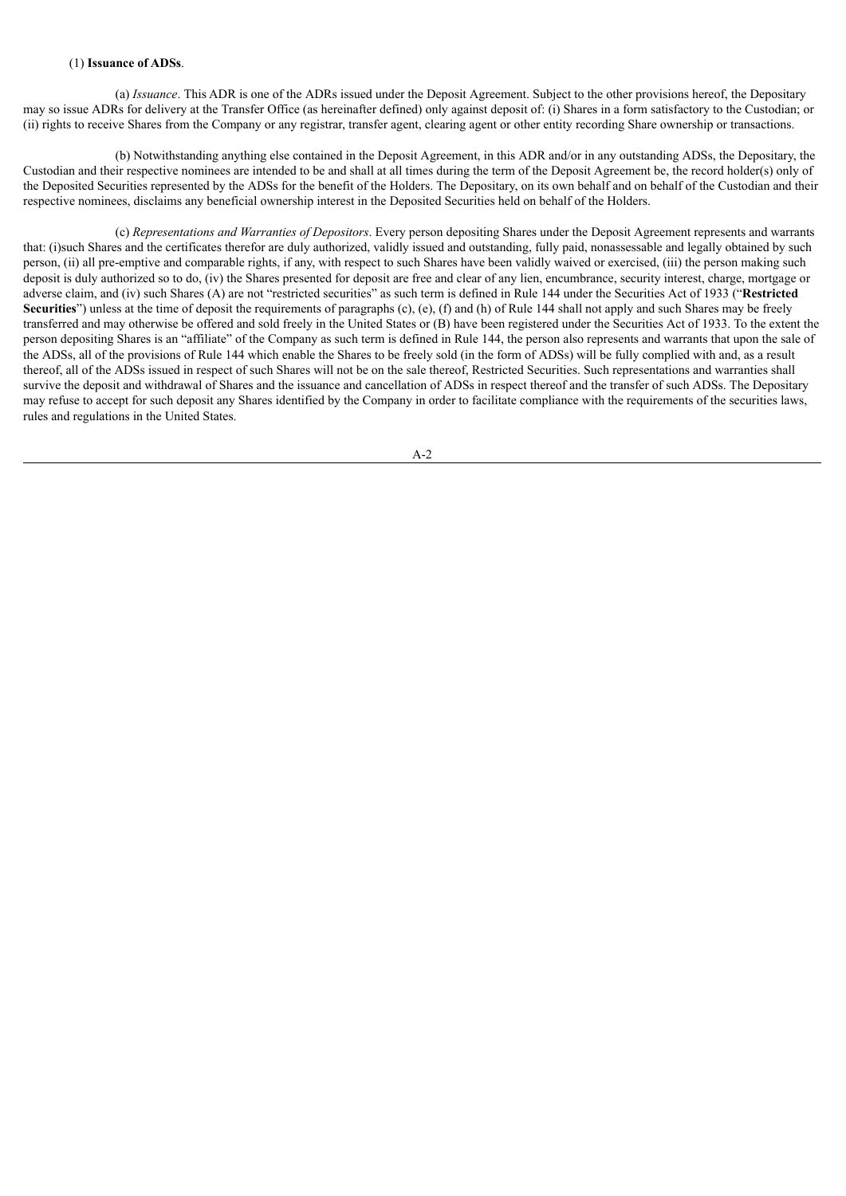### (1) **Issuance of ADSs**.

(a) *Issuance*. This ADR is one of the ADRs issued under the Deposit Agreement. Subject to the other provisions hereof, the Depositary may so issue ADRs for delivery at the Transfer Office (as hereinafter defined) only against deposit of: (i) Shares in a form satisfactory to the Custodian; or (ii) rights to receive Shares from the Company or any registrar, transfer agent, clearing agent or other entity recording Share ownership or transactions.

(b) Notwithstanding anything else contained in the Deposit Agreement, in this ADR and/or in any outstanding ADSs, the Depositary, the Custodian and their respective nominees are intended to be and shall at all times during the term of the Deposit Agreement be, the record holder(s) only of the Deposited Securities represented by the ADSs for the benefit of the Holders. The Depositary, on its own behalf and on behalf of the Custodian and their respective nominees, disclaims any beneficial ownership interest in the Deposited Securities held on behalf of the Holders.

(c) *Representations and Warranties of Depositors*. Every person depositing Shares under the Deposit Agreement represents and warrants that: (i)such Shares and the certificates therefor are duly authorized, validly issued and outstanding, fully paid, nonassessable and legally obtained by such person, (ii) all pre-emptive and comparable rights, if any, with respect to such Shares have been validly waived or exercised, (iii) the person making such deposit is duly authorized so to do, (iv) the Shares presented for deposit are free and clear of any lien, encumbrance, security interest, charge, mortgage or adverse claim, and (iv) such Shares (A) are not "restricted securities" as such term is defined in Rule 144 under the Securities Act of 1933 ("**Restricted** Securities") unless at the time of deposit the requirements of paragraphs (c), (e), (f) and (h) of Rule 144 shall not apply and such Shares may be freely transferred and may otherwise be offered and sold freely in the United States or (B) have been registered under the Securities Act of 1933. To the extent the person depositing Shares is an "affiliate" of the Company as such term is defined in Rule 144, the person also represents and warrants that upon the sale of the ADSs, all of the provisions of Rule 144 which enable the Shares to be freely sold (in the form of ADSs) will be fully complied with and, as a result thereof, all of the ADSs issued in respect of such Shares will not be on the sale thereof, Restricted Securities. Such representations and warranties shall survive the deposit and withdrawal of Shares and the issuance and cancellation of ADSs in respect thereof and the transfer of such ADSs. The Depositary may refuse to accept for such deposit any Shares identified by the Company in order to facilitate compliance with the requirements of the securities laws, rules and regulations in the United States.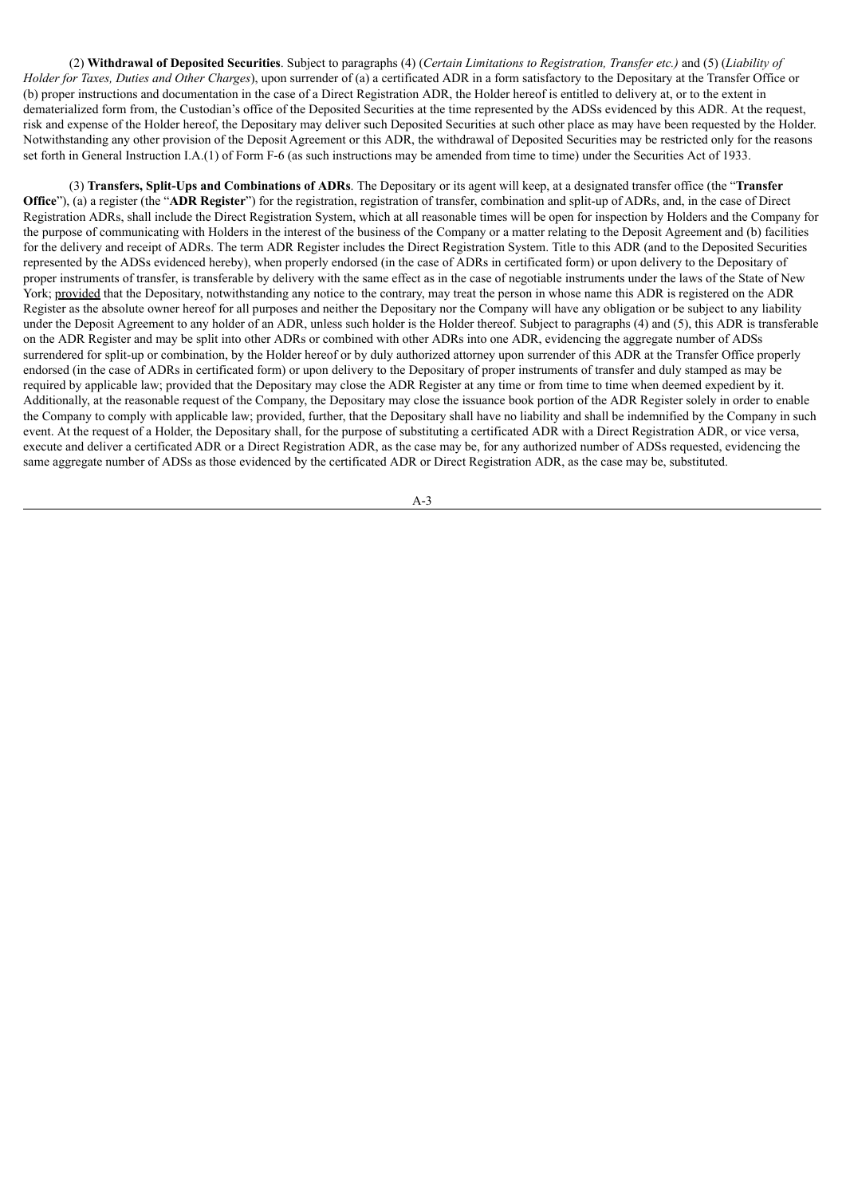(2) **Withdrawal of Deposited Securities**. Subject to paragraphs (4) (*Certain Limitations to Registration, Transfer etc.)* and (5) (*Liability of Holder for Taxes, Duties and Other Charges*), upon surrender of (a) a certificated ADR in a form satisfactory to the Depositary at the Transfer Office or (b) proper instructions and documentation in the case of a Direct Registration ADR, the Holder hereof is entitled to delivery at, or to the extent in dematerialized form from, the Custodian's office of the Deposited Securities at the time represented by the ADSs evidenced by this ADR. At the request, risk and expense of the Holder hereof, the Depositary may deliver such Deposited Securities at such other place as may have been requested by the Holder. Notwithstanding any other provision of the Deposit Agreement or this ADR, the withdrawal of Deposited Securities may be restricted only for the reasons set forth in General Instruction I.A.(1) of Form F-6 (as such instructions may be amended from time to time) under the Securities Act of 1933.

(3) **Transfers, Split-Ups and Combinations of ADRs**. The Depositary or its agent will keep, at a designated transfer office (the "**Transfer Office**"), (a) a register (the "**ADR Register**") for the registration, registration of transfer, combination and split-up of ADRs, and, in the case of Direct Registration ADRs, shall include the Direct Registration System, which at all reasonable times will be open for inspection by Holders and the Company for the purpose of communicating with Holders in the interest of the business of the Company or a matter relating to the Deposit Agreement and (b) facilities for the delivery and receipt of ADRs. The term ADR Register includes the Direct Registration System. Title to this ADR (and to the Deposited Securities represented by the ADSs evidenced hereby), when properly endorsed (in the case of ADRs in certificated form) or upon delivery to the Depositary of proper instruments of transfer, is transferable by delivery with the same effect as in the case of negotiable instruments under the laws of the State of New York; provided that the Depositary, notwithstanding any notice to the contrary, may treat the person in whose name this ADR is registered on the ADR Register as the absolute owner hereof for all purposes and neither the Depositary nor the Company will have any obligation or be subject to any liability under the Deposit Agreement to any holder of an ADR, unless such holder is the Holder thereof. Subject to paragraphs (4) and (5), this ADR is transferable on the ADR Register and may be split into other ADRs or combined with other ADRs into one ADR, evidencing the aggregate number of ADSs surrendered for split-up or combination, by the Holder hereof or by duly authorized attorney upon surrender of this ADR at the Transfer Office properly endorsed (in the case of ADRs in certificated form) or upon delivery to the Depositary of proper instruments of transfer and duly stamped as may be required by applicable law; provided that the Depositary may close the ADR Register at any time or from time to time when deemed expedient by it. Additionally, at the reasonable request of the Company, the Depositary may close the issuance book portion of the ADR Register solely in order to enable the Company to comply with applicable law; provided, further, that the Depositary shall have no liability and shall be indemnified by the Company in such event. At the request of a Holder, the Depositary shall, for the purpose of substituting a certificated ADR with a Direct Registration ADR, or vice versa. execute and deliver a certificated ADR or a Direct Registration ADR, as the case may be, for any authorized number of ADSs requested, evidencing the same aggregate number of ADSs as those evidenced by the certificated ADR or Direct Registration ADR, as the case may be, substituted.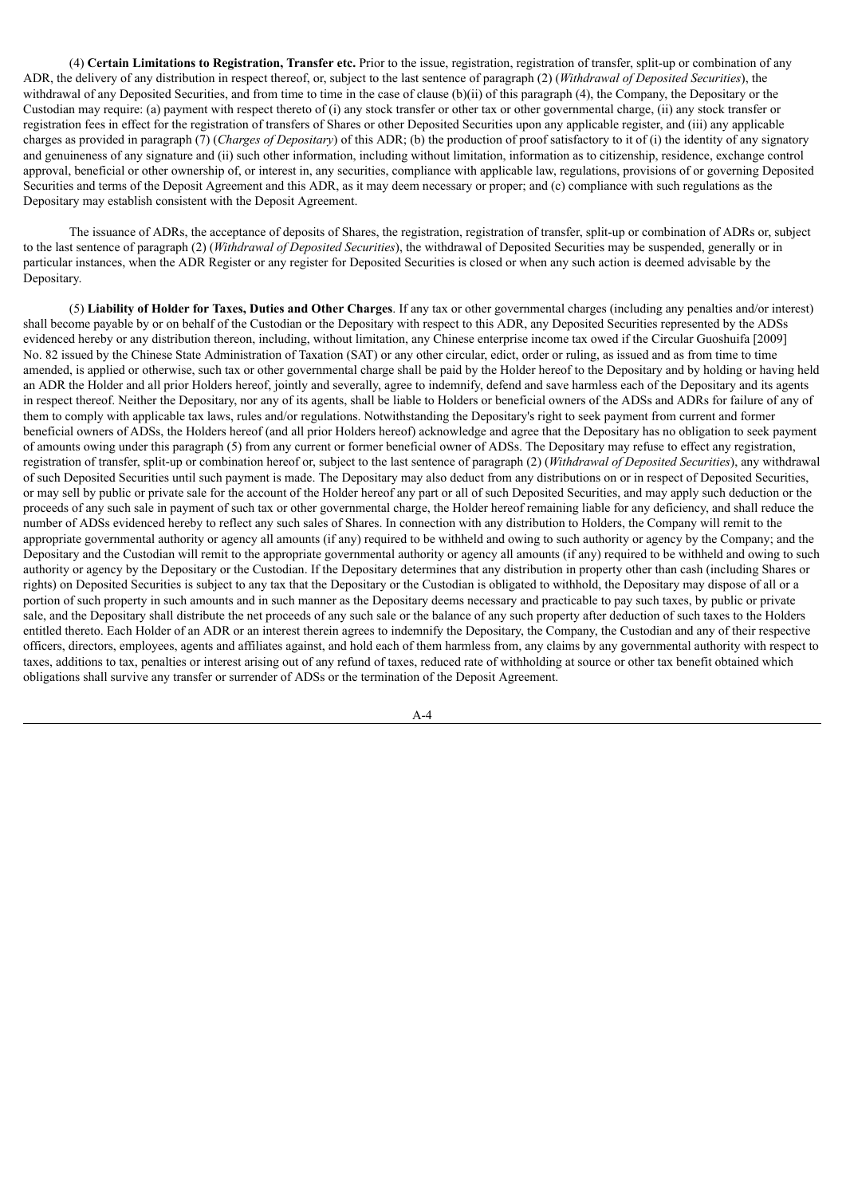(4) **Certain Limitations to Registration, Transfer etc.** Prior to the issue, registration, registration of transfer, split-up or combination of any ADR, the delivery of any distribution in respect thereof, or, subject to the last sentence of paragraph (2) (*Withdrawal of Deposited Securities*), the withdrawal of any Deposited Securities, and from time to time in the case of clause (b)(ii) of this paragraph (4), the Company, the Depositary or the Custodian may require: (a) payment with respect thereto of (i) any stock transfer or other tax or other governmental charge, (ii) any stock transfer or registration fees in effect for the registration of transfers of Shares or other Deposited Securities upon any applicable register, and (iii) any applicable charges as provided in paragraph (7) (*Charges of Depositary*) of this ADR; (b) the production of proof satisfactory to it of (i) the identity of any signatory and genuineness of any signature and (ii) such other information, including without limitation, information as to citizenship, residence, exchange control approval, beneficial or other ownership of, or interest in, any securities, compliance with applicable law, regulations, provisions of or governing Deposited Securities and terms of the Deposit Agreement and this ADR, as it may deem necessary or proper; and (c) compliance with such regulations as the Depositary may establish consistent with the Deposit Agreement.

The issuance of ADRs, the acceptance of deposits of Shares, the registration, registration of transfer, split-up or combination of ADRs or, subject to the last sentence of paragraph (2) (*Withdrawal of Deposited Securities*), the withdrawal of Deposited Securities may be suspended, generally or in particular instances, when the ADR Register or any register for Deposited Securities is closed or when any such action is deemed advisable by the Depositary.

(5) **Liability of Holder for Taxes, Duties and Other Charges**. If any tax or other governmental charges (including any penalties and/or interest) shall become payable by or on behalf of the Custodian or the Depositary with respect to this ADR, any Deposited Securities represented by the ADSs evidenced hereby or any distribution thereon, including, without limitation, any Chinese enterprise income tax owed if the Circular Guoshuifa [2009] No. 82 issued by the Chinese State Administration of Taxation (SAT) or any other circular, edict, order or ruling, as issued and as from time to time amended, is applied or otherwise, such tax or other governmental charge shall be paid by the Holder hereof to the Depositary and by holding or having held an ADR the Holder and all prior Holders hereof, jointly and severally, agree to indemnify, defend and save harmless each of the Depositary and its agents in respect thereof. Neither the Depositary, nor any of its agents, shall be liable to Holders or beneficial owners of the ADSs and ADRs for failure of any of them to comply with applicable tax laws, rules and/or regulations. Notwithstanding the Depositary's right to seek payment from current and former beneficial owners of ADSs, the Holders hereof (and all prior Holders hereof) acknowledge and agree that the Depositary has no obligation to seek payment of amounts owing under this paragraph (5) from any current or former beneficial owner of ADSs. The Depositary may refuse to effect any registration, registration of transfer, split-up or combination hereof or, subject to the last sentence of paragraph (2) (*Withdrawal of Deposited Securities*), any withdrawal of such Deposited Securities until such payment is made. The Depositary may also deduct from any distributions on or in respect of Deposited Securities, or may sell by public or private sale for the account of the Holder hereof any part or all of such Deposited Securities, and may apply such deduction or the proceeds of any such sale in payment of such tax or other governmental charge, the Holder hereof remaining liable for any deficiency, and shall reduce the number of ADSs evidenced hereby to reflect any such sales of Shares. In connection with any distribution to Holders, the Company will remit to the appropriate governmental authority or agency all amounts (if any) required to be withheld and owing to such authority or agency by the Company; and the Depositary and the Custodian will remit to the appropriate governmental authority or agency all amounts (if any) required to be withheld and owing to such authority or agency by the Depositary or the Custodian. If the Depositary determines that any distribution in property other than cash (including Shares or rights) on Deposited Securities is subject to any tax that the Depositary or the Custodian is obligated to withhold, the Depositary may dispose of all or a portion of such property in such amounts and in such manner as the Depositary deems necessary and practicable to pay such taxes, by public or private sale, and the Depositary shall distribute the net proceeds of any such sale or the balance of any such property after deduction of such taxes to the Holders entitled thereto. Each Holder of an ADR or an interest therein agrees to indemnify the Depositary, the Company, the Custodian and any of their respective officers, directors, employees, agents and affiliates against, and hold each of them harmless from, any claims by any governmental authority with respect to taxes, additions to tax, penalties or interest arising out of any refund of taxes, reduced rate of withholding at source or other tax benefit obtained which obligations shall survive any transfer or surrender of ADSs or the termination of the Deposit Agreement.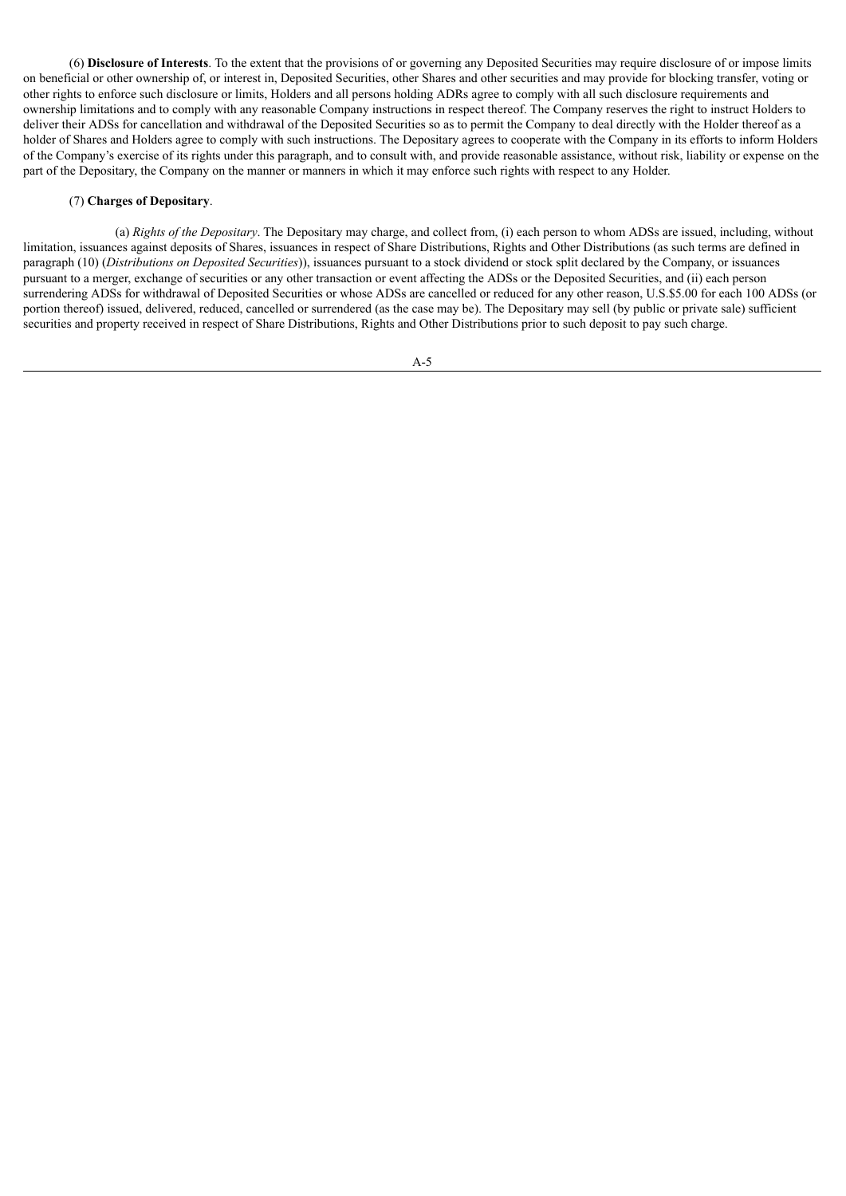(6) **Disclosure of Interests**. To the extent that the provisions of or governing any Deposited Securities may require disclosure of or impose limits on beneficial or other ownership of, or interest in, Deposited Securities, other Shares and other securities and may provide for blocking transfer, voting or other rights to enforce such disclosure or limits, Holders and all persons holding ADRs agree to comply with all such disclosure requirements and ownership limitations and to comply with any reasonable Company instructions in respect thereof. The Company reserves the right to instruct Holders to deliver their ADSs for cancellation and withdrawal of the Deposited Securities so as to permit the Company to deal directly with the Holder thereof as a holder of Shares and Holders agree to comply with such instructions. The Depositary agrees to cooperate with the Company in its efforts to inform Holders of the Company's exercise of its rights under this paragraph, and to consult with, and provide reasonable assistance, without risk, liability or expense on the part of the Depositary, the Company on the manner or manners in which it may enforce such rights with respect to any Holder.

# (7) **Charges of Depositary**.

(a) *Rights of the Depositary*. The Depositary may charge, and collect from, (i) each person to whom ADSs are issued, including, without limitation, issuances against deposits of Shares, issuances in respect of Share Distributions, Rights and Other Distributions (as such terms are defined in paragraph (10) (*Distributions on Deposited Securities*)), issuances pursuant to a stock dividend or stock split declared by the Company, or issuances pursuant to a merger, exchange of securities or any other transaction or event affecting the ADSs or the Deposited Securities, and (ii) each person surrendering ADSs for withdrawal of Deposited Securities or whose ADSs are cancelled or reduced for any other reason, U.S.\$5.00 for each 100 ADSs (or portion thereof) issued, delivered, reduced, cancelled or surrendered (as the case may be). The Depositary may sell (by public or private sale) sufficient securities and property received in respect of Share Distributions, Rights and Other Distributions prior to such deposit to pay such charge.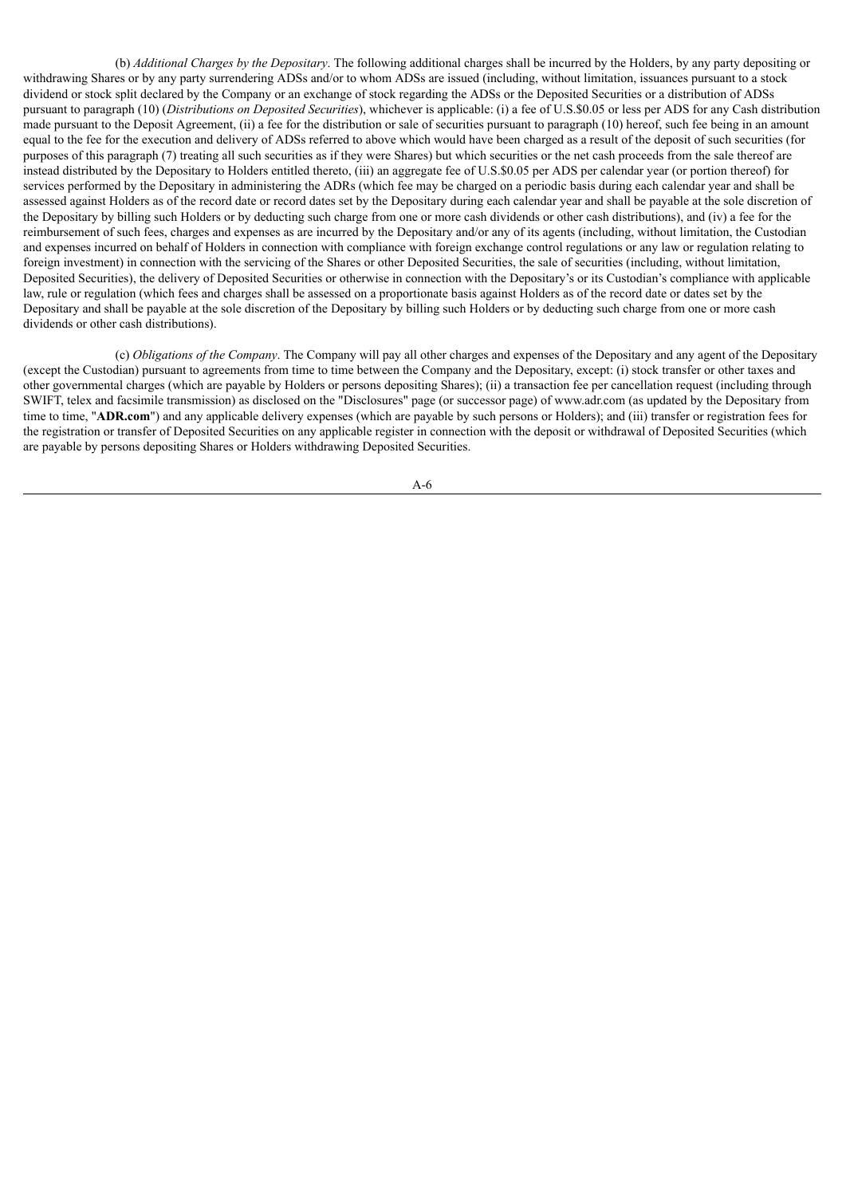(b) *Additional Charges by the Depositary*. The following additional charges shall be incurred by the Holders, by any party depositing or withdrawing Shares or by any party surrendering ADSs and/or to whom ADSs are issued (including, without limitation, issuances pursuant to a stock dividend or stock split declared by the Company or an exchange of stock regarding the ADSs or the Deposited Securities or a distribution of ADSs pursuant to paragraph (10) (*Distributions on Deposited Securities*), whichever is applicable: (i) a fee of U.S.\$0.05 or less per ADS for any Cash distribution made pursuant to the Deposit Agreement, (ii) a fee for the distribution or sale of securities pursuant to paragraph (10) hereof, such fee being in an amount equal to the fee for the execution and delivery of ADSs referred to above which would have been charged as a result of the deposit of such securities (for purposes of this paragraph (7) treating all such securities as if they were Shares) but which securities or the net cash proceeds from the sale thereof are instead distributed by the Depositary to Holders entitled thereto, (iii) an aggregate fee of U.S.\$0.05 per ADS per calendar year (or portion thereof) for services performed by the Depositary in administering the ADRs (which fee may be charged on a periodic basis during each calendar year and shall be assessed against Holders as of the record date or record dates set by the Depositary during each calendar year and shall be payable at the sole discretion of the Depositary by billing such Holders or by deducting such charge from one or more cash dividends or other cash distributions), and (iv) a fee for the reimbursement of such fees, charges and expenses as are incurred by the Depositary and/or any of its agents (including, without limitation, the Custodian and expenses incurred on behalf of Holders in connection with compliance with foreign exchange control regulations or any law or regulation relating to foreign investment) in connection with the servicing of the Shares or other Deposited Securities, the sale of securities (including, without limitation, Deposited Securities), the delivery of Deposited Securities or otherwise in connection with the Depositary's or its Custodian's compliance with applicable law, rule or regulation (which fees and charges shall be assessed on a proportionate basis against Holders as of the record date or dates set by the Depositary and shall be payable at the sole discretion of the Depositary by billing such Holders or by deducting such charge from one or more cash dividends or other cash distributions).

(c) *Obligations of the Company*. The Company will pay all other charges and expenses of the Depositary and any agent of the Depositary (except the Custodian) pursuant to agreements from time to time between the Company and the Depositary, except: (i) stock transfer or other taxes and other governmental charges (which are payable by Holders or persons depositing Shares); (ii) a transaction fee per cancellation request (including through SWIFT, telex and facsimile transmission) as disclosed on the "Disclosures" page (or successor page) of www.adr.com (as updated by the Depositary from time to time, "**ADR.com**") and any applicable delivery expenses (which are payable by such persons or Holders); and (iii) transfer or registration fees for the registration or transfer of Deposited Securities on any applicable register in connection with the deposit or withdrawal of Deposited Securities (which are payable by persons depositing Shares or Holders withdrawing Deposited Securities.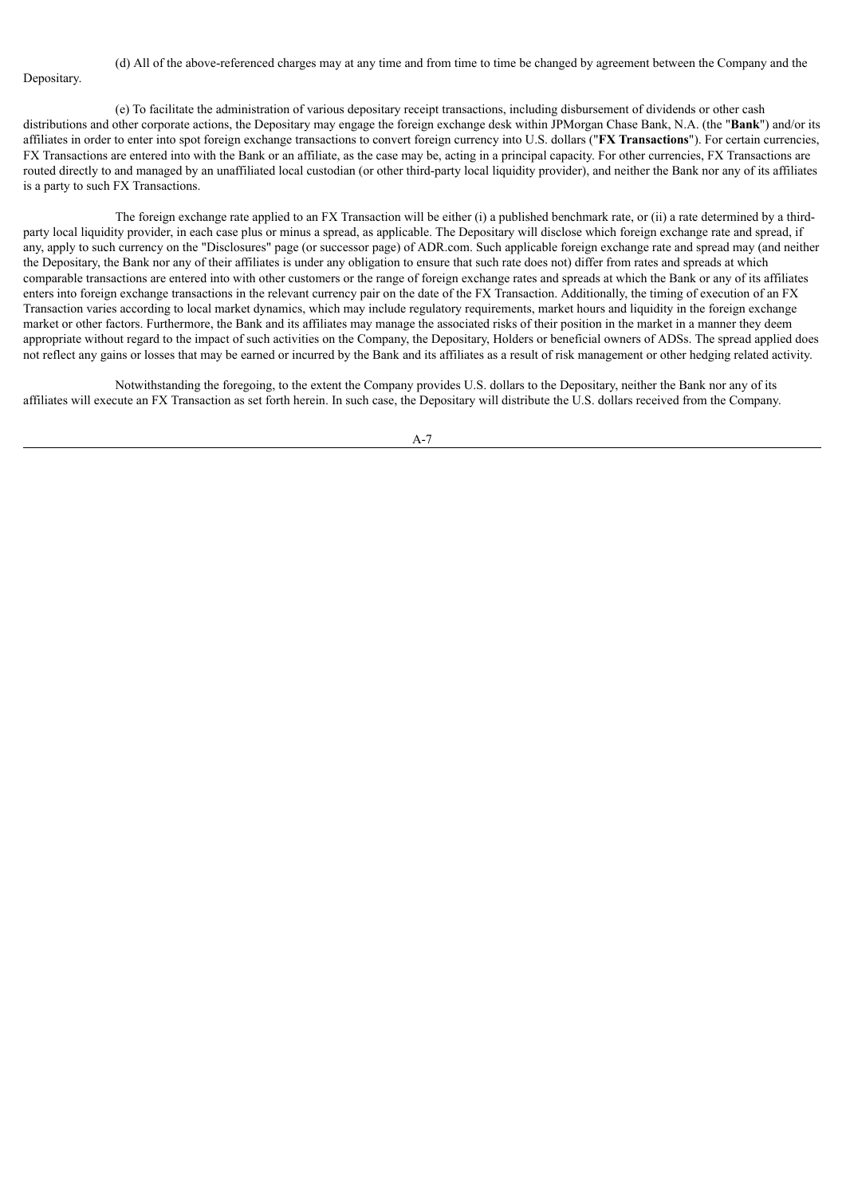(d) All of the above-referenced charges may at any time and from time to time be changed by agreement between the Company and the Depositary.

(e) To facilitate the administration of various depositary receipt transactions, including disbursement of dividends or other cash distributions and other corporate actions, the Depositary may engage the foreign exchange desk within JPMorgan Chase Bank, N.A. (the "**Bank**") and/or its affiliates in order to enter into spot foreign exchange transactions to convert foreign currency into U.S. dollars ("**FX Transactions**"). For certain currencies, FX Transactions are entered into with the Bank or an affiliate, as the case may be, acting in a principal capacity. For other currencies, FX Transactions are routed directly to and managed by an unaffiliated local custodian (or other third-party local liquidity provider), and neither the Bank nor any of its affiliates is a party to such FX Transactions.

The foreign exchange rate applied to an FX Transaction will be either (i) a published benchmark rate, or (ii) a rate determined by a thirdparty local liquidity provider, in each case plus or minus a spread, as applicable. The Depositary will disclose which foreign exchange rate and spread, if any, apply to such currency on the "Disclosures" page (or successor page) of ADR.com. Such applicable foreign exchange rate and spread may (and neither the Depositary, the Bank nor any of their affiliates is under any obligation to ensure that such rate does not) differ from rates and spreads at which comparable transactions are entered into with other customers or the range of foreign exchange rates and spreads at which the Bank or any of its affiliates enters into foreign exchange transactions in the relevant currency pair on the date of the FX Transaction. Additionally, the timing of execution of an FX Transaction varies according to local market dynamics, which may include regulatory requirements, market hours and liquidity in the foreign exchange market or other factors. Furthermore, the Bank and its affiliates may manage the associated risks of their position in the market in a manner they deem appropriate without regard to the impact of such activities on the Company, the Depositary, Holders or beneficial owners of ADSs. The spread applied does not reflect any gains or losses that may be earned or incurred by the Bank and its affiliates as a result of risk management or other hedging related activity.

Notwithstanding the foregoing, to the extent the Company provides U.S. dollars to the Depositary, neither the Bank nor any of its affiliates will execute an FX Transaction as set forth herein. In such case, the Depositary will distribute the U.S. dollars received from the Company.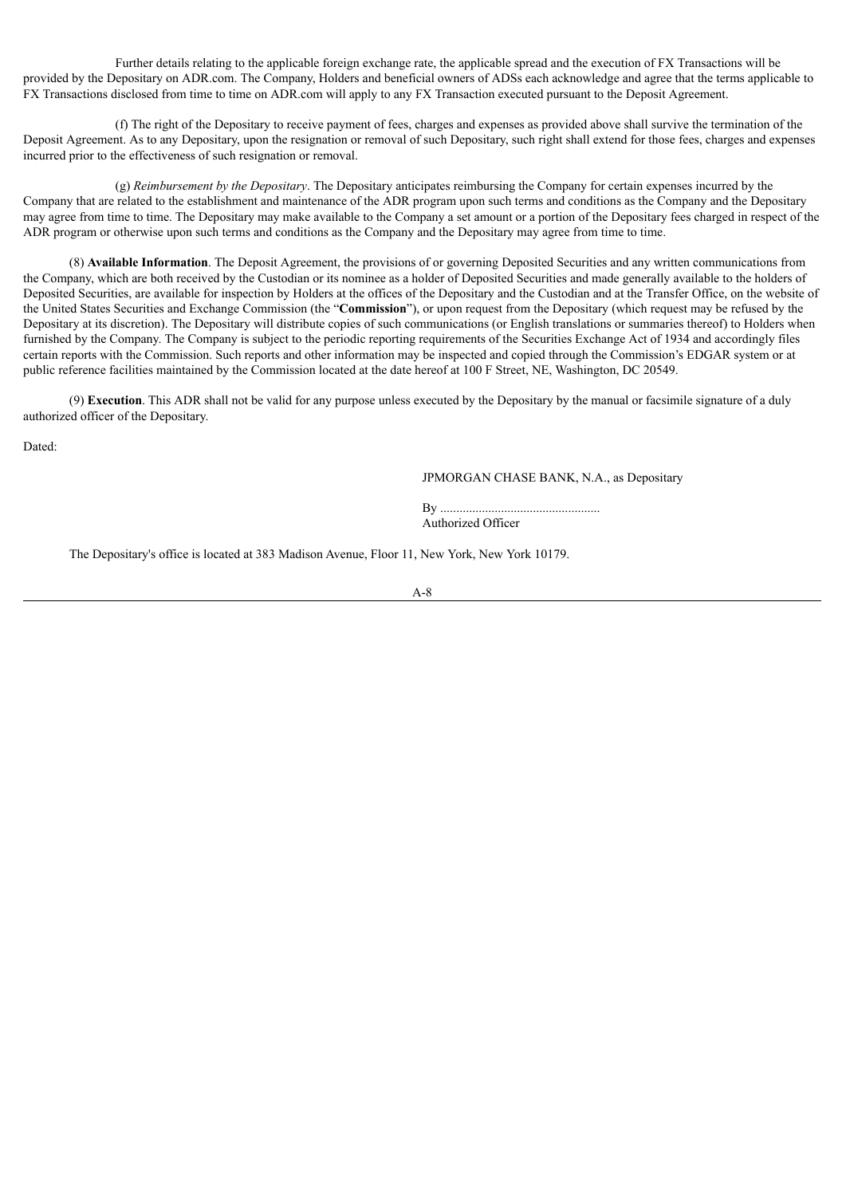Further details relating to the applicable foreign exchange rate, the applicable spread and the execution of FX Transactions will be provided by the Depositary on ADR.com. The Company, Holders and beneficial owners of ADSs each acknowledge and agree that the terms applicable to FX Transactions disclosed from time to time on ADR.com will apply to any FX Transaction executed pursuant to the Deposit Agreement.

(f) The right of the Depositary to receive payment of fees, charges and expenses as provided above shall survive the termination of the Deposit Agreement. As to any Depositary, upon the resignation or removal of such Depositary, such right shall extend for those fees, charges and expenses incurred prior to the effectiveness of such resignation or removal.

(g) *Reimbursement by the Depositary*. The Depositary anticipates reimbursing the Company for certain expenses incurred by the Company that are related to the establishment and maintenance of the ADR program upon such terms and conditions as the Company and the Depositary may agree from time to time. The Depositary may make available to the Company a set amount or a portion of the Depositary fees charged in respect of the ADR program or otherwise upon such terms and conditions as the Company and the Depositary may agree from time to time.

(8) **Available Information**. The Deposit Agreement, the provisions of or governing Deposited Securities and any written communications from the Company, which are both received by the Custodian or its nominee as a holder of Deposited Securities and made generally available to the holders of Deposited Securities, are available for inspection by Holders at the offices of the Depositary and the Custodian and at the Transfer Office, on the website of the United States Securities and Exchange Commission (the "**Commission**"), or upon request from the Depositary (which request may be refused by the Depositary at its discretion). The Depositary will distribute copies of such communications (or English translations or summaries thereof) to Holders when furnished by the Company. The Company is subject to the periodic reporting requirements of the Securities Exchange Act of 1934 and accordingly files certain reports with the Commission. Such reports and other information may be inspected and copied through the Commission's EDGAR system or at public reference facilities maintained by the Commission located at the date hereof at 100 F Street, NE, Washington, DC 20549.

(9) **Execution**. This ADR shall not be valid for any purpose unless executed by the Depositary by the manual or facsimile signature of a duly authorized officer of the Depositary.

Dated:

JPMORGAN CHASE BANK, N.A., as Depositary

By .................................................. Authorized Officer

The Depositary's office is located at 383 Madison Avenue, Floor 11, New York, New York 10179.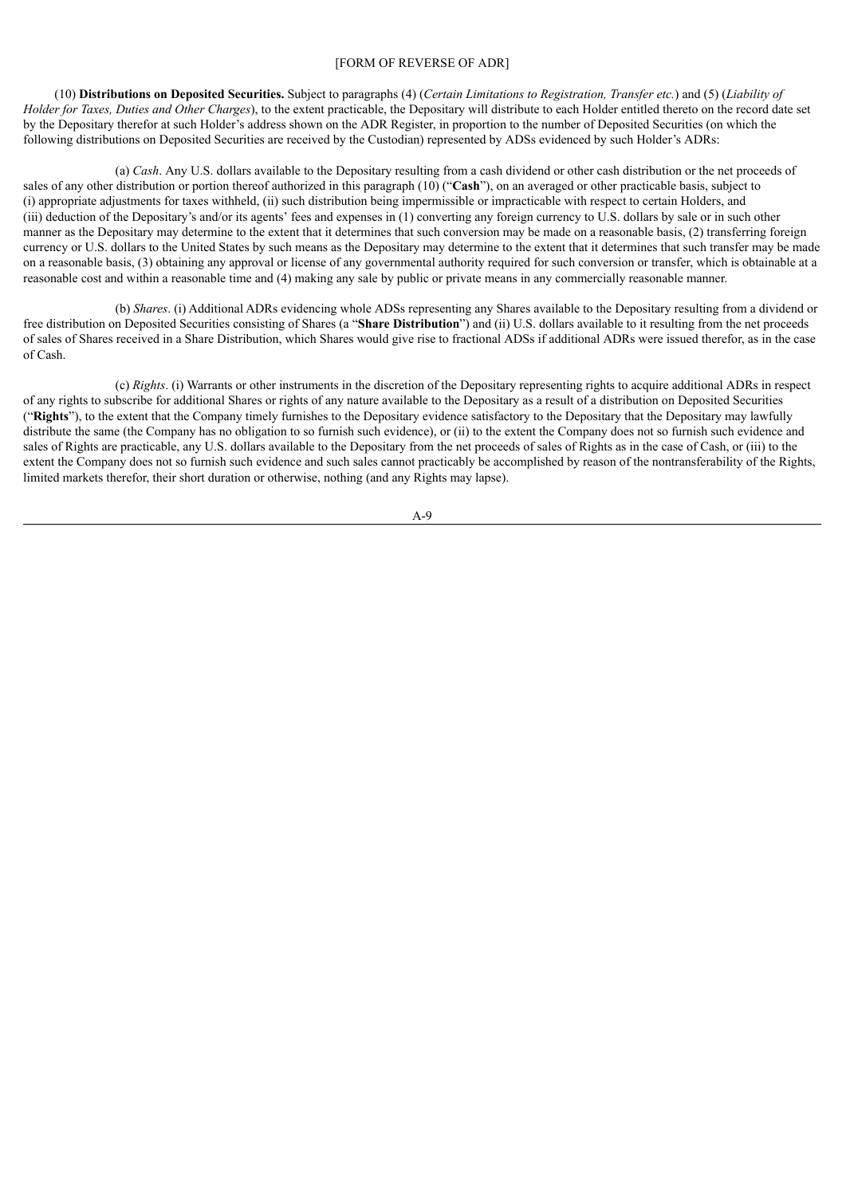### [FORM OF REVERSE OF ADR]

(10) Distributions on Deposited Securities. Subject to paragraphs (4) (Certain Limitations to Registration, Transfer etc.) and (5) (Liability of *Holder for Taxes, Duties and Other Charges*), to the extent practicable, the Depositary will distribute to each Holder entitled thereto on the record date set by the Depositary therefor at such Holder's address shown on the ADR Register, in proportion to the number of Deposited Securities (on which the following distributions on Deposited Securities are received by the Custodian) represented by ADSs evidenced by such Holder's ADRs:

(a) *Cash*. Any U.S. dollars available to the Depositary resulting from a cash dividend or other cash distribution or the net proceeds of sales of any other distribution or portion thereof authorized in this paragraph (10) ("**Cash**"), on an averaged or other practicable basis, subject to (i) appropriate adjustments for taxes withheld, (ii) such distribution being impermissible or impracticable with respect to certain Holders, and (iii) deduction of the Depositary's and/or its agents' fees and expenses in (1) converting any foreign currency to U.S. dollars by sale or in such other manner as the Depositary may determine to the extent that it determines that such conversion may be made on a reasonable basis, (2) transferring foreign currency or U.S. dollars to the United States by such means as the Depositary may determine to the extent that it determines that such transfer may be made on a reasonable basis, (3) obtaining any approval or license of any governmental authority required for such conversion or transfer, which is obtainable at a reasonable cost and within a reasonable time and (4) making any sale by public or private means in any commercially reasonable manner.

(b) *Shares*. (i) Additional ADRs evidencing whole ADSs representing any Shares available to the Depositary resulting from a dividend or free distribution on Deposited Securities consisting of Shares (a "**Share Distribution**") and (ii) U.S. dollars available to it resulting from the net proceeds of sales of Shares received in a Share Distribution, which Shares would give rise to fractional ADSs if additional ADRs were issued therefor, as in the case of Cash.

(c) *Rights*. (i) Warrants or other instruments in the discretion of the Depositary representing rights to acquire additional ADRs in respect of any rights to subscribe for additional Shares or rights of any nature available to the Depositary as a result of a distribution on Deposited Securities ("**Rights**"), to the extent that the Company timely furnishes to the Depositary evidence satisfactory to the Depositary that the Depositary may lawfully distribute the same (the Company has no obligation to so furnish such evidence), or (ii) to the extent the Company does not so furnish such evidence and sales of Rights are practicable, any U.S. dollars available to the Depositary from the net proceeds of sales of Rights as in the case of Cash, or (iii) to the extent the Company does not so furnish such evidence and such sales cannot practicably be accomplished by reason of the nontransferability of the Rights, limited markets therefor, their short duration or otherwise, nothing (and any Rights may lapse).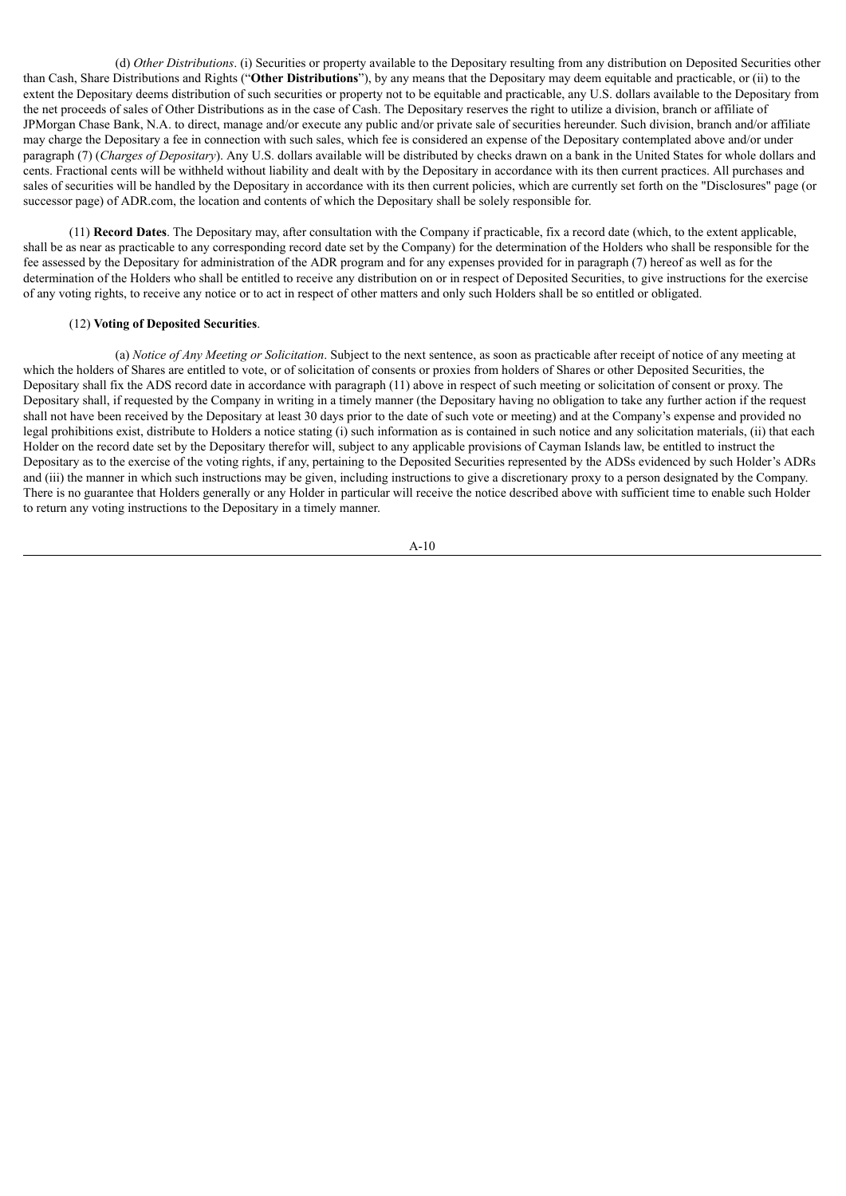(d) *Other Distributions*. (i) Securities or property available to the Depositary resulting from any distribution on Deposited Securities other than Cash, Share Distributions and Rights ("**Other Distributions**"), by any means that the Depositary may deem equitable and practicable, or (ii) to the extent the Depositary deems distribution of such securities or property not to be equitable and practicable, any U.S. dollars available to the Depositary from the net proceeds of sales of Other Distributions as in the case of Cash. The Depositary reserves the right to utilize a division, branch or affiliate of JPMorgan Chase Bank, N.A. to direct, manage and/or execute any public and/or private sale of securities hereunder. Such division, branch and/or affiliate may charge the Depositary a fee in connection with such sales, which fee is considered an expense of the Depositary contemplated above and/or under paragraph (7) (*Charges of Depositary*). Any U.S. dollars available will be distributed by checks drawn on a bank in the United States for whole dollars and cents. Fractional cents will be withheld without liability and dealt with by the Depositary in accordance with its then current practices. All purchases and sales of securities will be handled by the Depositary in accordance with its then current policies, which are currently set forth on the "Disclosures" page (or successor page) of ADR.com, the location and contents of which the Depositary shall be solely responsible for.

(11) **Record Dates**. The Depositary may, after consultation with the Company if practicable, fix a record date (which, to the extent applicable, shall be as near as practicable to any corresponding record date set by the Company) for the determination of the Holders who shall be responsible for the fee assessed by the Depositary for administration of the ADR program and for any expenses provided for in paragraph (7) hereof as well as for the determination of the Holders who shall be entitled to receive any distribution on or in respect of Deposited Securities, to give instructions for the exercise of any voting rights, to receive any notice or to act in respect of other matters and only such Holders shall be so entitled or obligated.

### (12) **Voting of Deposited Securities**.

(a) *Notice of Any Meeting or Solicitation*. Subject to the next sentence, as soon as practicable after receipt of notice of any meeting at which the holders of Shares are entitled to vote, or of solicitation of consents or proxies from holders of Shares or other Deposited Securities, the Depositary shall fix the ADS record date in accordance with paragraph (11) above in respect of such meeting or solicitation of consent or proxy. The Depositary shall, if requested by the Company in writing in a timely manner (the Depositary having no obligation to take any further action if the request shall not have been received by the Depositary at least 30 days prior to the date of such vote or meeting) and at the Company's expense and provided no legal prohibitions exist, distribute to Holders a notice stating (i) such information as is contained in such notice and any solicitation materials, (ii) that each Holder on the record date set by the Depositary therefor will, subject to any applicable provisions of Cayman Islands law, be entitled to instruct the Depositary as to the exercise of the voting rights, if any, pertaining to the Deposited Securities represented by the ADSs evidenced by such Holder's ADRs and (iii) the manner in which such instructions may be given, including instructions to give a discretionary proxy to a person designated by the Company. There is no guarantee that Holders generally or any Holder in particular will receive the notice described above with sufficient time to enable such Holder to return any voting instructions to the Depositary in a timely manner.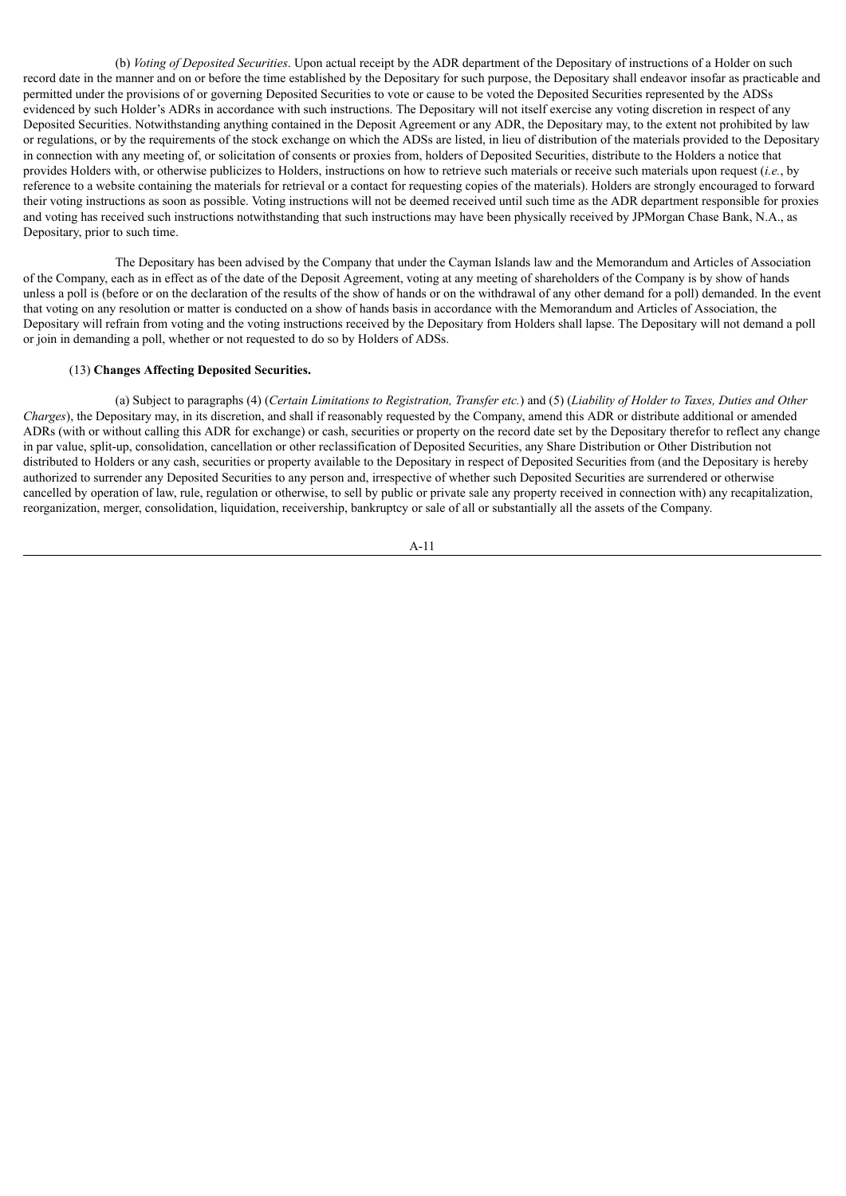(b) *Voting of Deposited Securities*. Upon actual receipt by the ADR department of the Depositary of instructions of a Holder on such record date in the manner and on or before the time established by the Depositary for such purpose, the Depositary shall endeavor insofar as practicable and permitted under the provisions of or governing Deposited Securities to vote or cause to be voted the Deposited Securities represented by the ADSs evidenced by such Holder's ADRs in accordance with such instructions. The Depositary will not itself exercise any voting discretion in respect of any Deposited Securities. Notwithstanding anything contained in the Deposit Agreement or any ADR, the Depositary may, to the extent not prohibited by law or regulations, or by the requirements of the stock exchange on which the ADSs are listed, in lieu of distribution of the materials provided to the Depositary in connection with any meeting of, or solicitation of consents or proxies from, holders of Deposited Securities, distribute to the Holders a notice that provides Holders with, or otherwise publicizes to Holders, instructions on how to retrieve such materials or receive such materials upon request (*i.e.*, by reference to a website containing the materials for retrieval or a contact for requesting copies of the materials). Holders are strongly encouraged to forward their voting instructions as soon as possible. Voting instructions will not be deemed received until such time as the ADR department responsible for proxies and voting has received such instructions notwithstanding that such instructions may have been physically received by JPMorgan Chase Bank, N.A., as Depositary, prior to such time.

The Depositary has been advised by the Company that under the Cayman Islands law and the Memorandum and Articles of Association of the Company, each as in effect as of the date of the Deposit Agreement, voting at any meeting of shareholders of the Company is by show of hands unless a poll is (before or on the declaration of the results of the show of hands or on the withdrawal of any other demand for a poll) demanded. In the event that voting on any resolution or matter is conducted on a show of hands basis in accordance with the Memorandum and Articles of Association, the Depositary will refrain from voting and the voting instructions received by the Depositary from Holders shall lapse. The Depositary will not demand a poll or join in demanding a poll, whether or not requested to do so by Holders of ADSs.

### (13) **Changes Affecting Deposited Securities.**

(a) Subject to paragraphs (4) (Certain Limitations to Registration, Transfer etc.) and (5) (Liability of Holder to Taxes, Duties and Other *Charges*), the Depositary may, in its discretion, and shall if reasonably requested by the Company, amend this ADR or distribute additional or amended ADRs (with or without calling this ADR for exchange) or cash, securities or property on the record date set by the Depositary therefor to reflect any change in par value, split-up, consolidation, cancellation or other reclassification of Deposited Securities, any Share Distribution or Other Distribution not distributed to Holders or any cash, securities or property available to the Depositary in respect of Deposited Securities from (and the Depositary is hereby authorized to surrender any Deposited Securities to any person and, irrespective of whether such Deposited Securities are surrendered or otherwise cancelled by operation of law, rule, regulation or otherwise, to sell by public or private sale any property received in connection with) any recapitalization, reorganization, merger, consolidation, liquidation, receivership, bankruptcy or sale of all or substantially all the assets of the Company.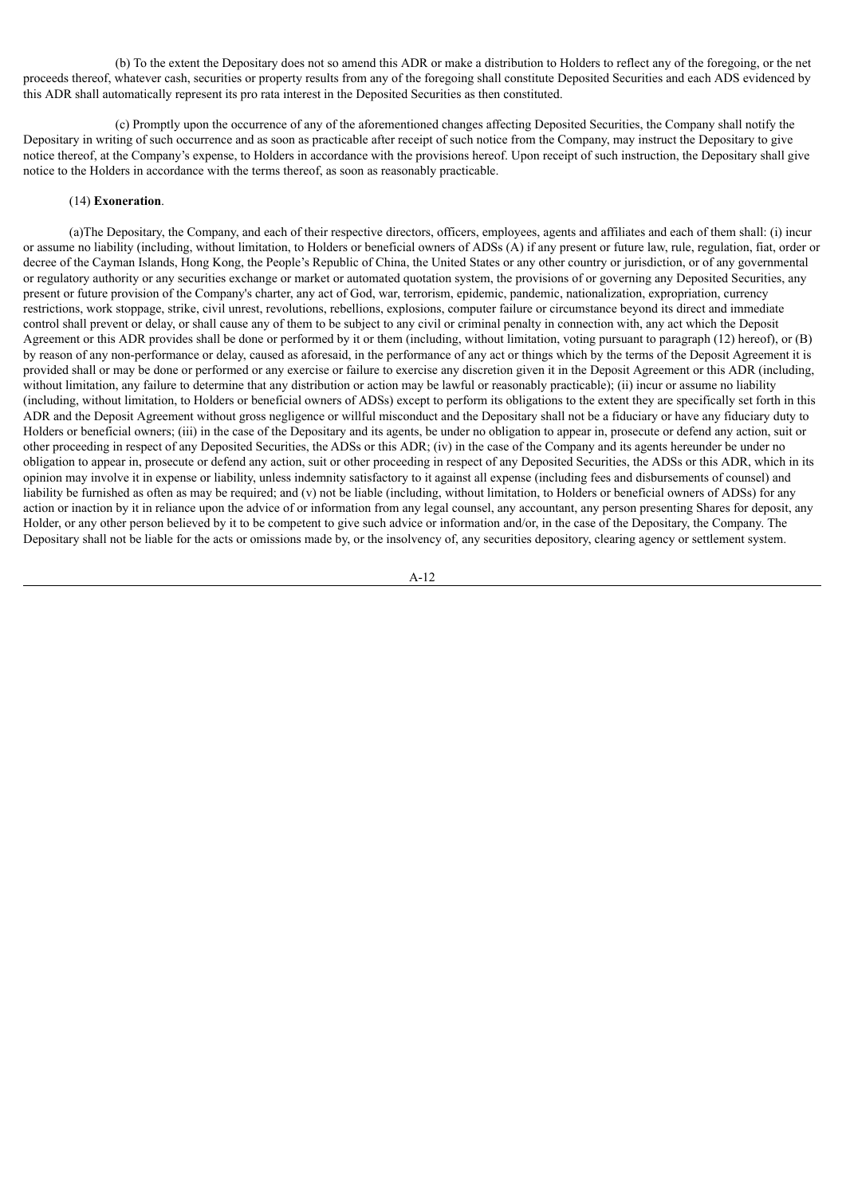(b) To the extent the Depositary does not so amend this ADR or make a distribution to Holders to reflect any of the foregoing, or the net proceeds thereof, whatever cash, securities or property results from any of the foregoing shall constitute Deposited Securities and each ADS evidenced by this ADR shall automatically represent its pro rata interest in the Deposited Securities as then constituted.

(c) Promptly upon the occurrence of any of the aforementioned changes affecting Deposited Securities, the Company shall notify the Depositary in writing of such occurrence and as soon as practicable after receipt of such notice from the Company, may instruct the Depositary to give notice thereof, at the Company's expense, to Holders in accordance with the provisions hereof. Upon receipt of such instruction, the Depositary shall give notice to the Holders in accordance with the terms thereof, as soon as reasonably practicable.

# (14) **Exoneration**.

(a)The Depositary, the Company, and each of their respective directors, officers, employees, agents and affiliates and each of them shall: (i) incur or assume no liability (including, without limitation, to Holders or beneficial owners of ADSs (A) if any present or future law, rule, regulation, fiat, order or decree of the Cayman Islands, Hong Kong, the People's Republic of China, the United States or any other country or jurisdiction, or of any governmental or regulatory authority or any securities exchange or market or automated quotation system, the provisions of or governing any Deposited Securities, any present or future provision of the Company's charter, any act of God, war, terrorism, epidemic, pandemic, nationalization, expropriation, currency restrictions, work stoppage, strike, civil unrest, revolutions, rebellions, explosions, computer failure or circumstance beyond its direct and immediate control shall prevent or delay, or shall cause any of them to be subject to any civil or criminal penalty in connection with, any act which the Deposit Agreement or this ADR provides shall be done or performed by it or them (including, without limitation, voting pursuant to paragraph (12) hereof), or (B) by reason of any non-performance or delay, caused as aforesaid, in the performance of any act or things which by the terms of the Deposit Agreement it is provided shall or may be done or performed or any exercise or failure to exercise any discretion given it in the Deposit Agreement or this ADR (including, without limitation, any failure to determine that any distribution or action may be lawful or reasonably practicable); (ii) incur or assume no liability (including, without limitation, to Holders or beneficial owners of ADSs) except to perform its obligations to the extent they are specifically set forth in this ADR and the Deposit Agreement without gross negligence or willful misconduct and the Depositary shall not be a fiduciary or have any fiduciary duty to Holders or beneficial owners; (iii) in the case of the Depositary and its agents, be under no obligation to appear in, prosecute or defend any action, suit or other proceeding in respect of any Deposited Securities, the ADSs or this ADR; (iv) in the case of the Company and its agents hereunder be under no obligation to appear in, prosecute or defend any action, suit or other proceeding in respect of any Deposited Securities, the ADSs or this ADR, which in its opinion may involve it in expense or liability, unless indemnity satisfactory to it against all expense (including fees and disbursements of counsel) and liability be furnished as often as may be required; and (v) not be liable (including, without limitation, to Holders or beneficial owners of ADSs) for any action or inaction by it in reliance upon the advice of or information from any legal counsel, any accountant, any person presenting Shares for deposit, any Holder, or any other person believed by it to be competent to give such advice or information and/or, in the case of the Depositary, the Company. The Depositary shall not be liable for the acts or omissions made by, or the insolvency of, any securities depository, clearing agency or settlement system.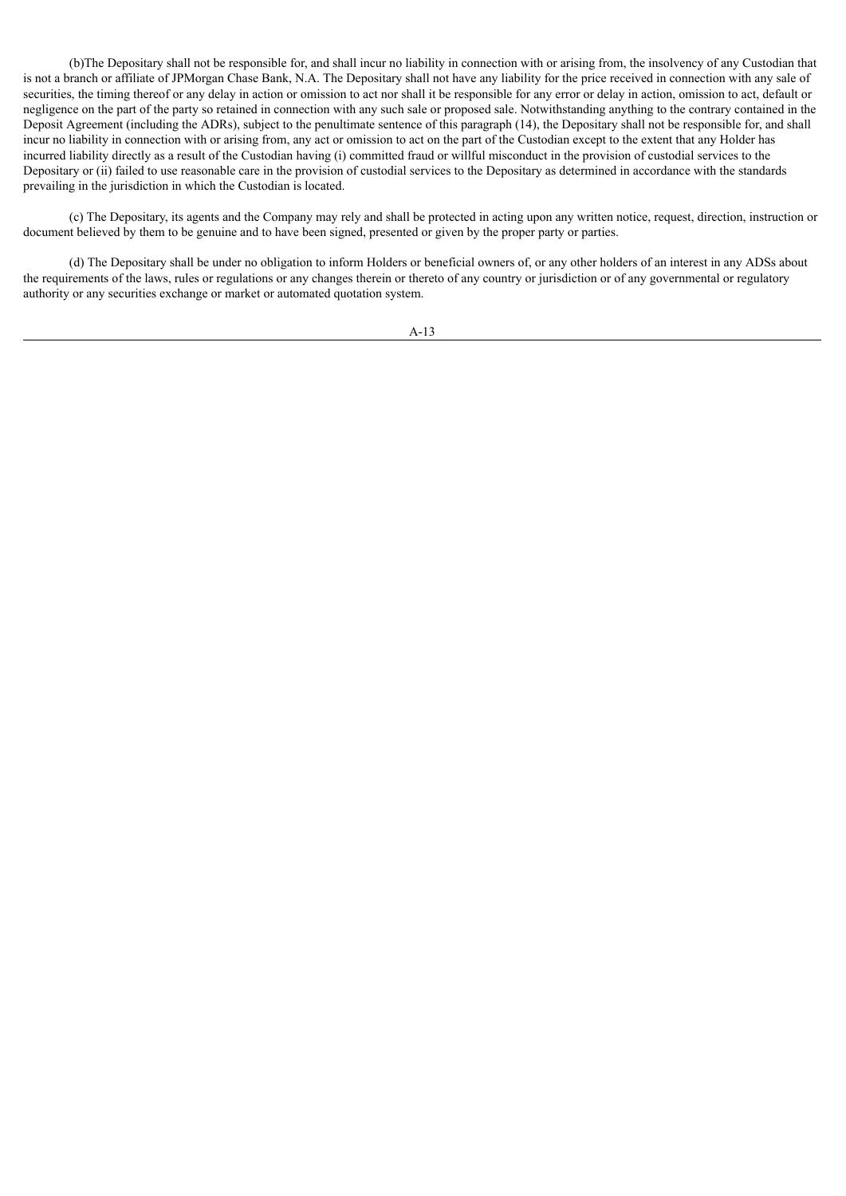(b)The Depositary shall not be responsible for, and shall incur no liability in connection with or arising from, the insolvency of any Custodian that is not a branch or affiliate of JPMorgan Chase Bank, N.A. The Depositary shall not have any liability for the price received in connection with any sale of securities, the timing thereof or any delay in action or omission to act nor shall it be responsible for any error or delay in action, omission to act, default or negligence on the part of the party so retained in connection with any such sale or proposed sale. Notwithstanding anything to the contrary contained in the Deposit Agreement (including the ADRs), subject to the penultimate sentence of this paragraph (14), the Depositary shall not be responsible for, and shall incur no liability in connection with or arising from, any act or omission to act on the part of the Custodian except to the extent that any Holder has incurred liability directly as a result of the Custodian having (i) committed fraud or willful misconduct in the provision of custodial services to the Depositary or (ii) failed to use reasonable care in the provision of custodial services to the Depositary as determined in accordance with the standards prevailing in the jurisdiction in which the Custodian is located.

(c) The Depositary, its agents and the Company may rely and shall be protected in acting upon any written notice, request, direction, instruction or document believed by them to be genuine and to have been signed, presented or given by the proper party or parties.

(d) The Depositary shall be under no obligation to inform Holders or beneficial owners of, or any other holders of an interest in any ADSs about the requirements of the laws, rules or regulations or any changes therein or thereto of any country or jurisdiction or of any governmental or regulatory authority or any securities exchange or market or automated quotation system.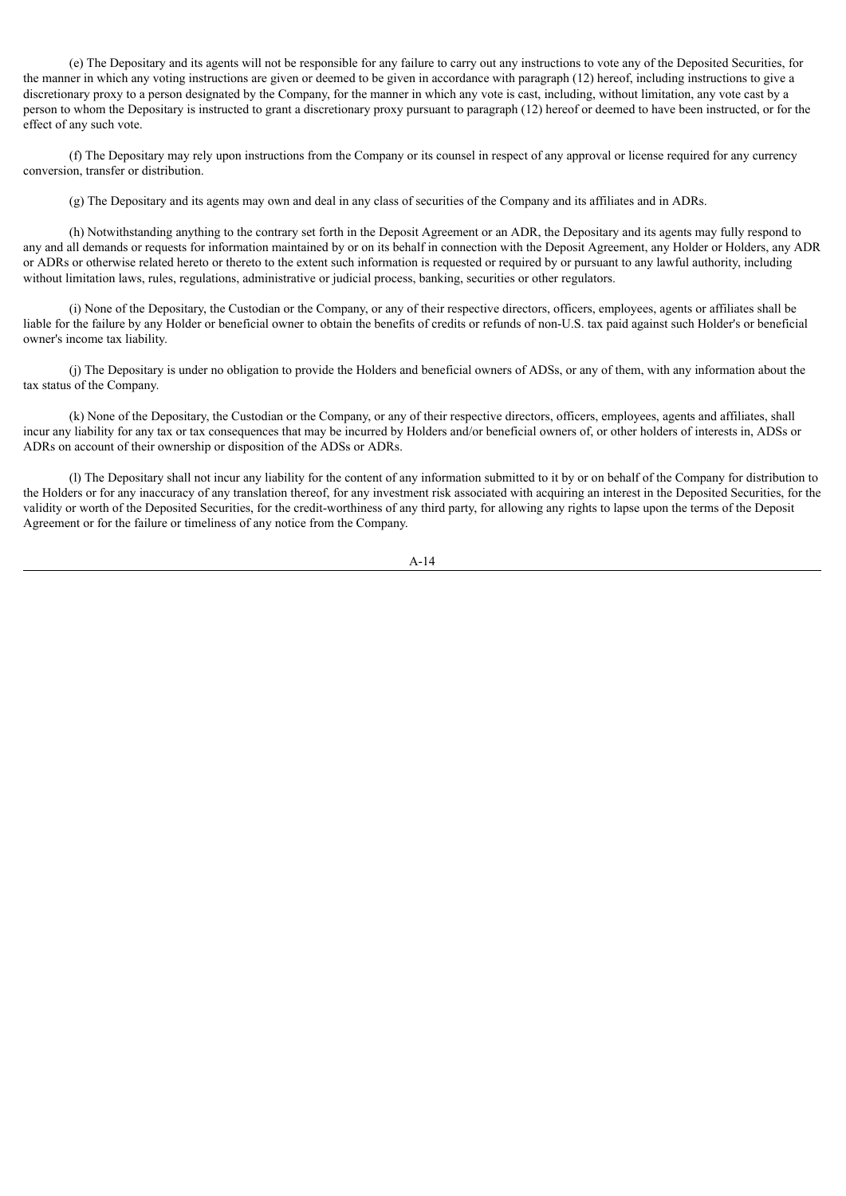(e) The Depositary and its agents will not be responsible for any failure to carry out any instructions to vote any of the Deposited Securities, for the manner in which any voting instructions are given or deemed to be given in accordance with paragraph (12) hereof, including instructions to give a discretionary proxy to a person designated by the Company, for the manner in which any vote is cast, including, without limitation, any vote cast by a person to whom the Depositary is instructed to grant a discretionary proxy pursuant to paragraph (12) hereof or deemed to have been instructed, or for the effect of any such vote.

(f) The Depositary may rely upon instructions from the Company or its counsel in respect of any approval or license required for any currency conversion, transfer or distribution.

(g) The Depositary and its agents may own and deal in any class of securities of the Company and its affiliates and in ADRs.

(h) Notwithstanding anything to the contrary set forth in the Deposit Agreement or an ADR, the Depositary and its agents may fully respond to any and all demands or requests for information maintained by or on its behalf in connection with the Deposit Agreement, any Holder or Holders, any ADR or ADRs or otherwise related hereto or thereto to the extent such information is requested or required by or pursuant to any lawful authority, including without limitation laws, rules, regulations, administrative or judicial process, banking, securities or other regulators.

(i) None of the Depositary, the Custodian or the Company, or any of their respective directors, officers, employees, agents or affiliates shall be liable for the failure by any Holder or beneficial owner to obtain the benefits of credits or refunds of non-U.S. tax paid against such Holder's or beneficial owner's income tax liability.

(j) The Depositary is under no obligation to provide the Holders and beneficial owners of ADSs, or any of them, with any information about the tax status of the Company.

(k) None of the Depositary, the Custodian or the Company, or any of their respective directors, officers, employees, agents and affiliates, shall incur any liability for any tax or tax consequences that may be incurred by Holders and/or beneficial owners of, or other holders of interests in, ADSs or ADRs on account of their ownership or disposition of the ADSs or ADRs.

(l) The Depositary shall not incur any liability for the content of any information submitted to it by or on behalf of the Company for distribution to the Holders or for any inaccuracy of any translation thereof, for any investment risk associated with acquiring an interest in the Deposited Securities, for the validity or worth of the Deposited Securities, for the credit-worthiness of any third party, for allowing any rights to lapse upon the terms of the Deposit Agreement or for the failure or timeliness of any notice from the Company.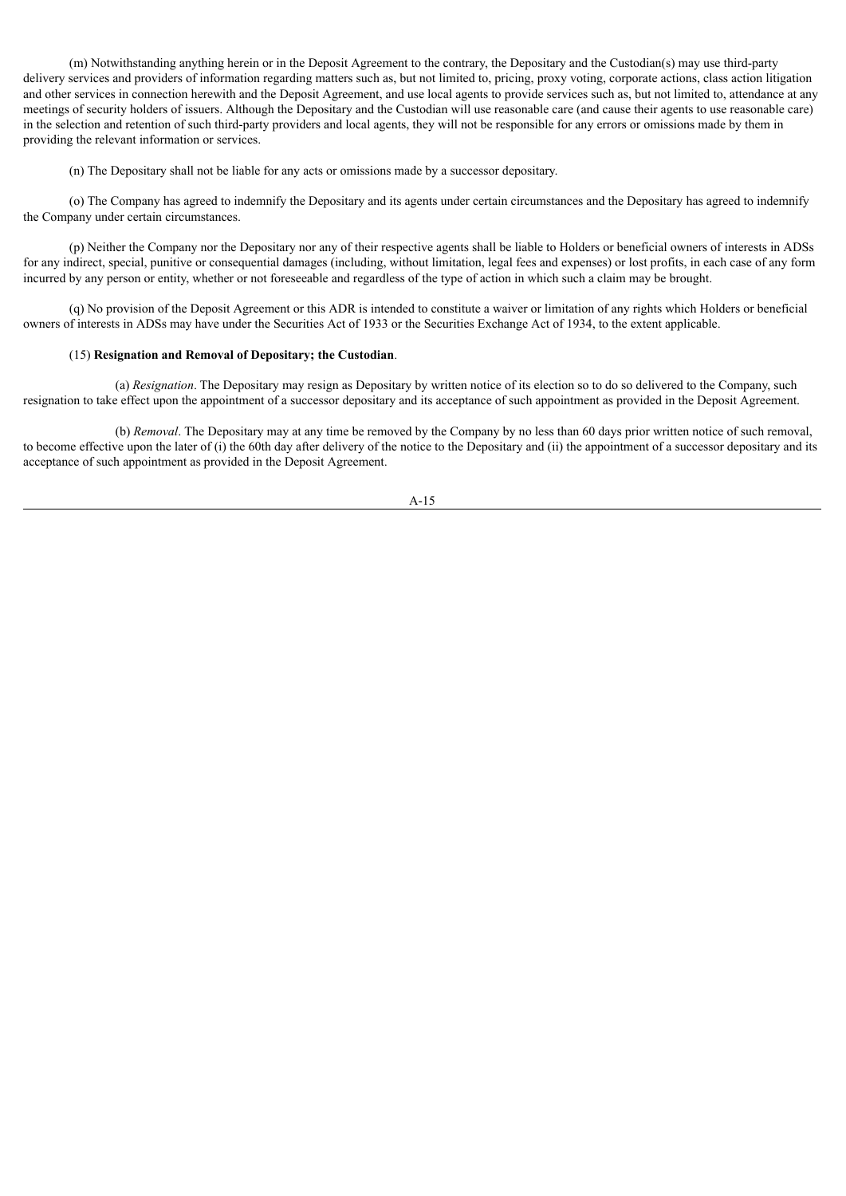(m) Notwithstanding anything herein or in the Deposit Agreement to the contrary, the Depositary and the Custodian(s) may use third-party delivery services and providers of information regarding matters such as, but not limited to, pricing, proxy voting, corporate actions, class action litigation and other services in connection herewith and the Deposit Agreement, and use local agents to provide services such as, but not limited to, attendance at any meetings of security holders of issuers. Although the Depositary and the Custodian will use reasonable care (and cause their agents to use reasonable care) in the selection and retention of such third-party providers and local agents, they will not be responsible for any errors or omissions made by them in providing the relevant information or services.

(n) The Depositary shall not be liable for any acts or omissions made by a successor depositary.

(o) The Company has agreed to indemnify the Depositary and its agents under certain circumstances and the Depositary has agreed to indemnify the Company under certain circumstances.

(p) Neither the Company nor the Depositary nor any of their respective agents shall be liable to Holders or beneficial owners of interests in ADSs for any indirect, special, punitive or consequential damages (including, without limitation, legal fees and expenses) or lost profits, in each case of any form incurred by any person or entity, whether or not foreseeable and regardless of the type of action in which such a claim may be brought.

(q) No provision of the Deposit Agreement or this ADR is intended to constitute a waiver or limitation of any rights which Holders or beneficial owners of interests in ADSs may have under the Securities Act of 1933 or the Securities Exchange Act of 1934, to the extent applicable.

# (15) **Resignation and Removal of Depositary; the Custodian**.

(a) *Resignation*. The Depositary may resign as Depositary by written notice of its election so to do so delivered to the Company, such resignation to take effect upon the appointment of a successor depositary and its acceptance of such appointment as provided in the Deposit Agreement.

(b) *Removal*. The Depositary may at any time be removed by the Company by no less than 60 days prior written notice of such removal, to become effective upon the later of (i) the 60th day after delivery of the notice to the Depositary and (ii) the appointment of a successor depositary and its acceptance of such appointment as provided in the Deposit Agreement.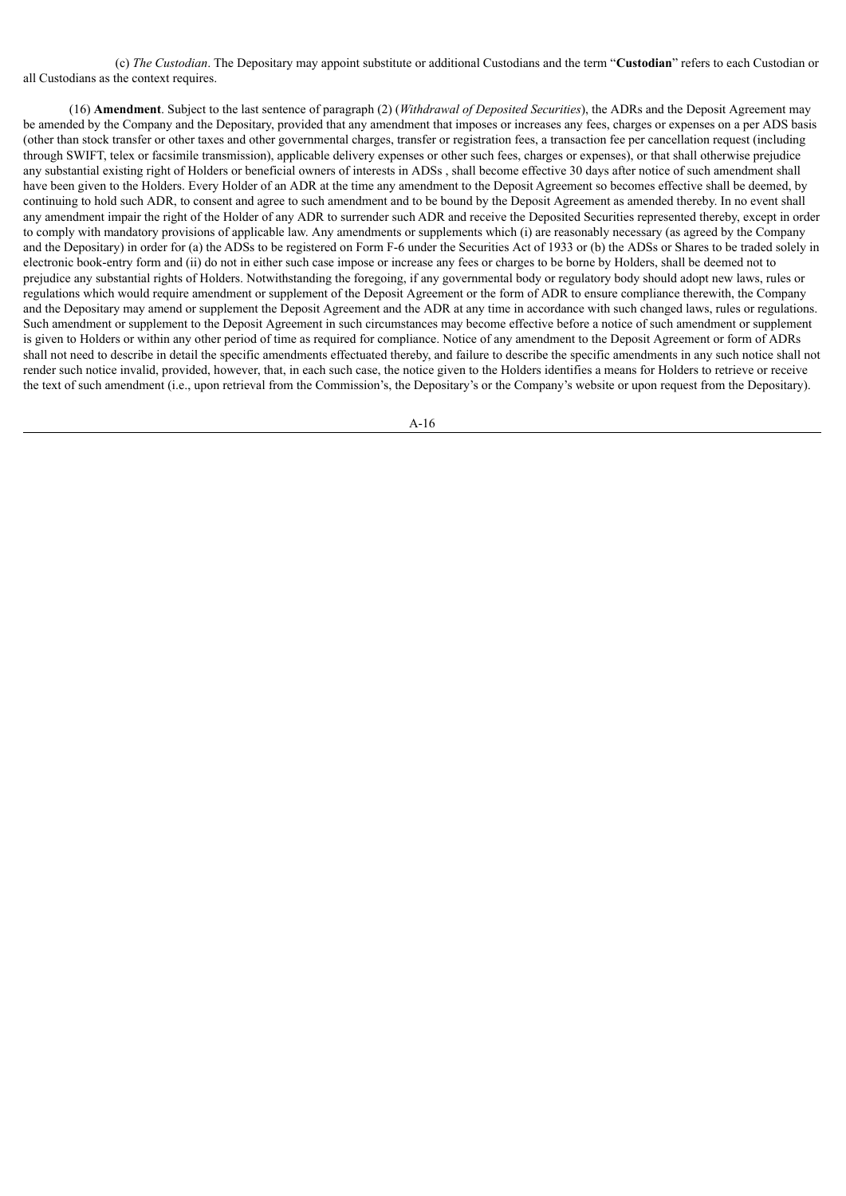(c) *The Custodian*. The Depositary may appoint substitute or additional Custodians and the term "**Custodian**" refers to each Custodian or all Custodians as the context requires.

(16) **Amendment**. Subject to the last sentence of paragraph (2) (*Withdrawal of Deposited Securities*), the ADRs and the Deposit Agreement may be amended by the Company and the Depositary, provided that any amendment that imposes or increases any fees, charges or expenses on a per ADS basis (other than stock transfer or other taxes and other governmental charges, transfer or registration fees, a transaction fee per cancellation request (including through SWIFT, telex or facsimile transmission), applicable delivery expenses or other such fees, charges or expenses), or that shall otherwise prejudice any substantial existing right of Holders or beneficial owners of interests in ADSs , shall become effective 30 days after notice of such amendment shall have been given to the Holders. Every Holder of an ADR at the time any amendment to the Deposit Agreement so becomes effective shall be deemed, by continuing to hold such ADR, to consent and agree to such amendment and to be bound by the Deposit Agreement as amended thereby. In no event shall any amendment impair the right of the Holder of any ADR to surrender such ADR and receive the Deposited Securities represented thereby, except in order to comply with mandatory provisions of applicable law. Any amendments or supplements which (i) are reasonably necessary (as agreed by the Company and the Depositary) in order for (a) the ADSs to be registered on Form F-6 under the Securities Act of 1933 or (b) the ADSs or Shares to be traded solely in electronic book-entry form and (ii) do not in either such case impose or increase any fees or charges to be borne by Holders, shall be deemed not to prejudice any substantial rights of Holders. Notwithstanding the foregoing, if any governmental body or regulatory body should adopt new laws, rules or regulations which would require amendment or supplement of the Deposit Agreement or the form of ADR to ensure compliance therewith, the Company and the Depositary may amend or supplement the Deposit Agreement and the ADR at any time in accordance with such changed laws, rules or regulations. Such amendment or supplement to the Deposit Agreement in such circumstances may become effective before a notice of such amendment or supplement is given to Holders or within any other period of time as required for compliance. Notice of any amendment to the Deposit Agreement or form of ADRs shall not need to describe in detail the specific amendments effectuated thereby, and failure to describe the specific amendments in any such notice shall not render such notice invalid, provided, however, that, in each such case, the notice given to the Holders identifies a means for Holders to retrieve or receive the text of such amendment (i.e., upon retrieval from the Commission's, the Depositary's or the Company's website or upon request from the Depositary).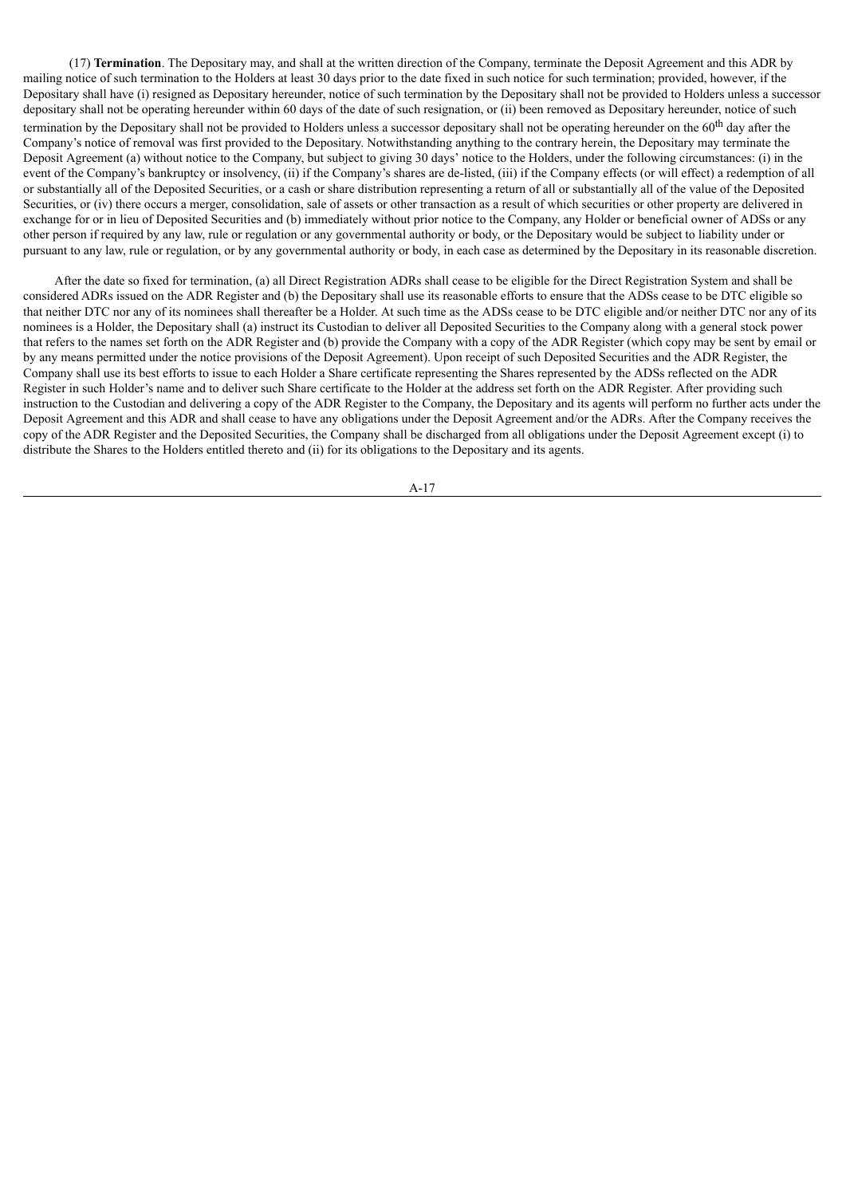(17) **Termination**. The Depositary may, and shall at the written direction of the Company, terminate the Deposit Agreement and this ADR by mailing notice of such termination to the Holders at least 30 days prior to the date fixed in such notice for such termination; provided, however, if the Depositary shall have (i) resigned as Depositary hereunder, notice of such termination by the Depositary shall not be provided to Holders unless a successor depositary shall not be operating hereunder within 60 days of the date of such resignation, or (ii) been removed as Depositary hereunder, notice of such termination by the Depositary shall not be provided to Holders unless a successor depositary shall not be operating hereunder on the 60<sup>th</sup> day after the Company's notice of removal was first provided to the Depositary. Notwithstanding anything to the contrary herein, the Depositary may terminate the Deposit Agreement (a) without notice to the Company, but subject to giving 30 days' notice to the Holders, under the following circumstances: (i) in the event of the Company's bankruptcy or insolvency, (ii) if the Company's shares are de-listed, (iii) if the Company effects (or will effect) a redemption of all or substantially all of the Deposited Securities, or a cash or share distribution representing a return of all or substantially all of the value of the Deposited Securities, or (iv) there occurs a merger, consolidation, sale of assets or other transaction as a result of which securities or other property are delivered in exchange for or in lieu of Deposited Securities and (b) immediately without prior notice to the Company, any Holder or beneficial owner of ADSs or any other person if required by any law, rule or regulation or any governmental authority or body, or the Depositary would be subject to liability under or pursuant to any law, rule or regulation, or by any governmental authority or body, in each case as determined by the Depositary in its reasonable discretion.

After the date so fixed for termination, (a) all Direct Registration ADRs shall cease to be eligible for the Direct Registration System and shall be considered ADRs issued on the ADR Register and (b) the Depositary shall use its reasonable efforts to ensure that the ADSs cease to be DTC eligible so that neither DTC nor any of its nominees shall thereafter be a Holder. At such time as the ADSs cease to be DTC eligible and/or neither DTC nor any of its nominees is a Holder, the Depositary shall (a) instruct its Custodian to deliver all Deposited Securities to the Company along with a general stock power that refers to the names set forth on the ADR Register and (b) provide the Company with a copy of the ADR Register (which copy may be sent by email or by any means permitted under the notice provisions of the Deposit Agreement). Upon receipt of such Deposited Securities and the ADR Register, the Company shall use its best efforts to issue to each Holder a Share certificate representing the Shares represented by the ADSs reflected on the ADR Register in such Holder's name and to deliver such Share certificate to the Holder at the address set forth on the ADR Register. After providing such instruction to the Custodian and delivering a copy of the ADR Register to the Company, the Depositary and its agents will perform no further acts under the Deposit Agreement and this ADR and shall cease to have any obligations under the Deposit Agreement and/or the ADRs. After the Company receives the copy of the ADR Register and the Deposited Securities, the Company shall be discharged from all obligations under the Deposit Agreement except (i) to distribute the Shares to the Holders entitled thereto and (ii) for its obligations to the Depositary and its agents.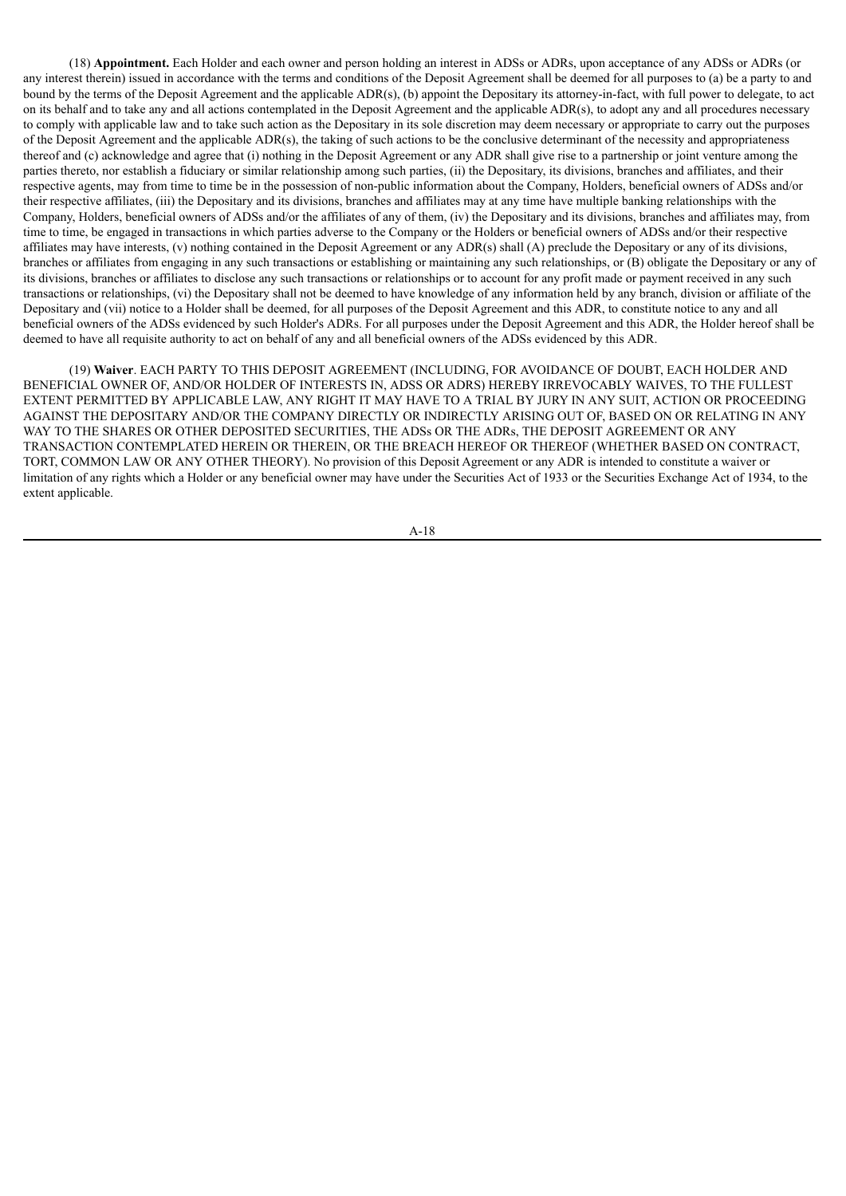(18) **Appointment.** Each Holder and each owner and person holding an interest in ADSs or ADRs, upon acceptance of any ADSs or ADRs (or any interest therein) issued in accordance with the terms and conditions of the Deposit Agreement shall be deemed for all purposes to (a) be a party to and bound by the terms of the Deposit Agreement and the applicable ADR(s), (b) appoint the Depositary its attorney-in-fact, with full power to delegate, to act on its behalf and to take any and all actions contemplated in the Deposit Agreement and the applicable ADR(s), to adopt any and all procedures necessary to comply with applicable law and to take such action as the Depositary in its sole discretion may deem necessary or appropriate to carry out the purposes of the Deposit Agreement and the applicable ADR(s), the taking of such actions to be the conclusive determinant of the necessity and appropriateness thereof and (c) acknowledge and agree that (i) nothing in the Deposit Agreement or any ADR shall give rise to a partnership or joint venture among the parties thereto, nor establish a fiduciary or similar relationship among such parties, (ii) the Depositary, its divisions, branches and affiliates, and their respective agents, may from time to time be in the possession of non-public information about the Company, Holders, beneficial owners of ADSs and/or their respective affiliates, (iii) the Depositary and its divisions, branches and affiliates may at any time have multiple banking relationships with the Company, Holders, beneficial owners of ADSs and/or the affiliates of any of them, (iv) the Depositary and its divisions, branches and affiliates may, from time to time, be engaged in transactions in which parties adverse to the Company or the Holders or beneficial owners of ADSs and/or their respective affiliates may have interests, (v) nothing contained in the Deposit Agreement or any ADR(s) shall (A) preclude the Depositary or any of its divisions, branches or affiliates from engaging in any such transactions or establishing or maintaining any such relationships, or (B) obligate the Depositary or any of its divisions, branches or affiliates to disclose any such transactions or relationships or to account for any profit made or payment received in any such transactions or relationships, (vi) the Depositary shall not be deemed to have knowledge of any information held by any branch, division or affiliate of the Depositary and (vii) notice to a Holder shall be deemed, for all purposes of the Deposit Agreement and this ADR, to constitute notice to any and all beneficial owners of the ADSs evidenced by such Holder's ADRs. For all purposes under the Deposit Agreement and this ADR, the Holder hereof shall be deemed to have all requisite authority to act on behalf of any and all beneficial owners of the ADSs evidenced by this ADR.

(19) **Waiver**. EACH PARTY TO THIS DEPOSIT AGREEMENT (INCLUDING, FOR AVOIDANCE OF DOUBT, EACH HOLDER AND BENEFICIAL OWNER OF, AND/OR HOLDER OF INTERESTS IN, ADSS OR ADRS) HEREBY IRREVOCABLY WAIVES, TO THE FULLEST EXTENT PERMITTED BY APPLICABLE LAW, ANY RIGHT IT MAY HAVE TO A TRIAL BY JURY IN ANY SUIT, ACTION OR PROCEEDING AGAINST THE DEPOSITARY AND/OR THE COMPANY DIRECTLY OR INDIRECTLY ARISING OUT OF, BASED ON OR RELATING IN ANY WAY TO THE SHARES OR OTHER DEPOSITED SECURITIES, THE ADSs OR THE ADRs, THE DEPOSIT AGREEMENT OR ANY TRANSACTION CONTEMPLATED HEREIN OR THEREIN, OR THE BREACH HEREOF OR THEREOF (WHETHER BASED ON CONTRACT, TORT, COMMON LAW OR ANY OTHER THEORY). No provision of this Deposit Agreement or any ADR is intended to constitute a waiver or limitation of any rights which a Holder or any beneficial owner may have under the Securities Act of 1933 or the Securities Exchange Act of 1934, to the extent applicable.